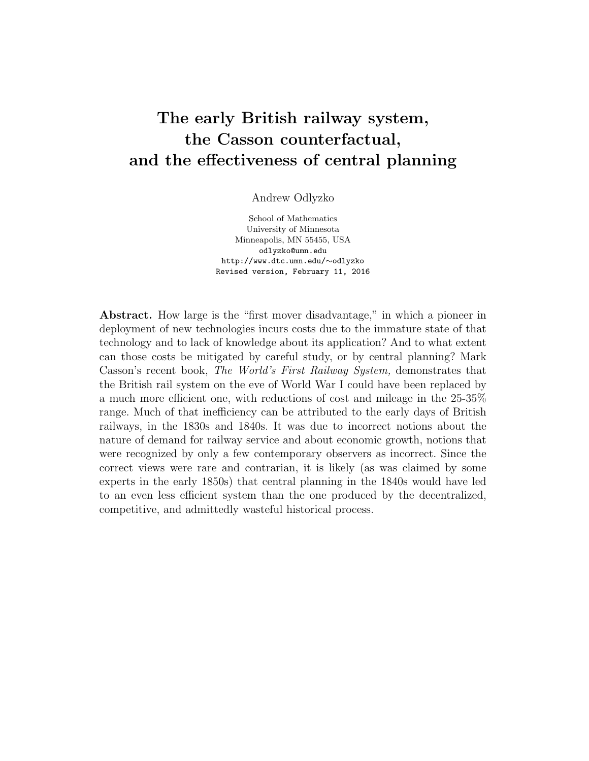# The early British railway system, the Casson counterfactual, and the effectiveness of central planning

Andrew Odlyzko

School of Mathematics University of Minnesota Minneapolis, MN 55455, USA odlyzko@umn.edu http://www.dtc.umn.edu/∼odlyzko Revised version, February 11, 2016

Abstract. How large is the "first mover disadvantage," in which a pioneer in deployment of new technologies incurs costs due to the immature state of that technology and to lack of knowledge about its application? And to what extent can those costs be mitigated by careful study, or by central planning? Mark Casson's recent book, The World's First Railway System, demonstrates that the British rail system on the eve of World War I could have been replaced by a much more efficient one, with reductions of cost and mileage in the 25-35% range. Much of that inefficiency can be attributed to the early days of British railways, in the 1830s and 1840s. It was due to incorrect notions about the nature of demand for railway service and about economic growth, notions that were recognized by only a few contemporary observers as incorrect. Since the correct views were rare and contrarian, it is likely (as was claimed by some experts in the early 1850s) that central planning in the 1840s would have led to an even less efficient system than the one produced by the decentralized, competitive, and admittedly wasteful historical process.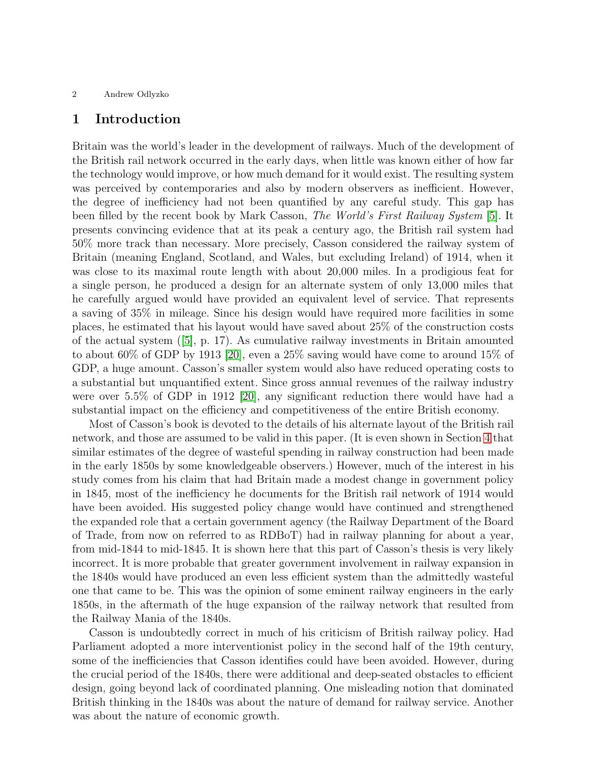### 1 Introduction

Britain was the world's leader in the development of railways. Much of the development of the British rail network occurred in the early days, when little was known either of how far the technology would improve, or how much demand for it would exist. The resulting system was perceived by contemporaries and also by modern observers as inefficient. However, the degree of inefficiency had not been quantified by any careful study. This gap has been filled by the recent book by Mark Casson, The World's First Railway System [\[5\]](#page-23-0). It presents convincing evidence that at its peak a century ago, the British rail system had 50% more track than necessary. More precisely, Casson considered the railway system of Britain (meaning England, Scotland, and Wales, but excluding Ireland) of 1914, when it was close to its maximal route length with about 20,000 miles. In a prodigious feat for a single person, he produced a design for an alternate system of only 13,000 miles that he carefully argued would have provided an equivalent level of service. That represents a saving of 35% in mileage. Since his design would have required more facilities in some places, he estimated that his layout would have saved about 25% of the construction costs of the actual system ([\[5\]](#page-23-0), p. 17). As cumulative railway investments in Britain amounted to about 60% of GDP by 1913 [\[20\]](#page-23-1), even a 25% saving would have come to around 15% of GDP, a huge amount. Casson's smaller system would also have reduced operating costs to a substantial but unquantified extent. Since gross annual revenues of the railway industry were over 5.5% of GDP in 1912 [\[20\]](#page-23-1), any significant reduction there would have had a substantial impact on the efficiency and competitiveness of the entire British economy.

Most of Casson's book is devoted to the details of his alternate layout of the British rail network, and those are assumed to be valid in this paper. (It is even shown in Section [4](#page-6-0) that similar estimates of the degree of wasteful spending in railway construction had been made in the early 1850s by some knowledgeable observers.) However, much of the interest in his study comes from his claim that had Britain made a modest change in government policy in 1845, most of the inefficiency he documents for the British rail network of 1914 would have been avoided. His suggested policy change would have continued and strengthened the expanded role that a certain government agency (the Railway Department of the Board of Trade, from now on referred to as RDBoT) had in railway planning for about a year, from mid-1844 to mid-1845. It is shown here that this part of Casson's thesis is very likely incorrect. It is more probable that greater government involvement in railway expansion in the 1840s would have produced an even less efficient system than the admittedly wasteful one that came to be. This was the opinion of some eminent railway engineers in the early 1850s, in the aftermath of the huge expansion of the railway network that resulted from the Railway Mania of the 1840s.

Casson is undoubtedly correct in much of his criticism of British railway policy. Had Parliament adopted a more interventionist policy in the second half of the 19th century, some of the inefficiencies that Casson identifies could have been avoided. However, during the crucial period of the 1840s, there were additional and deep-seated obstacles to efficient design, going beyond lack of coordinated planning. One misleading notion that dominated British thinking in the 1840s was about the nature of demand for railway service. Another was about the nature of economic growth.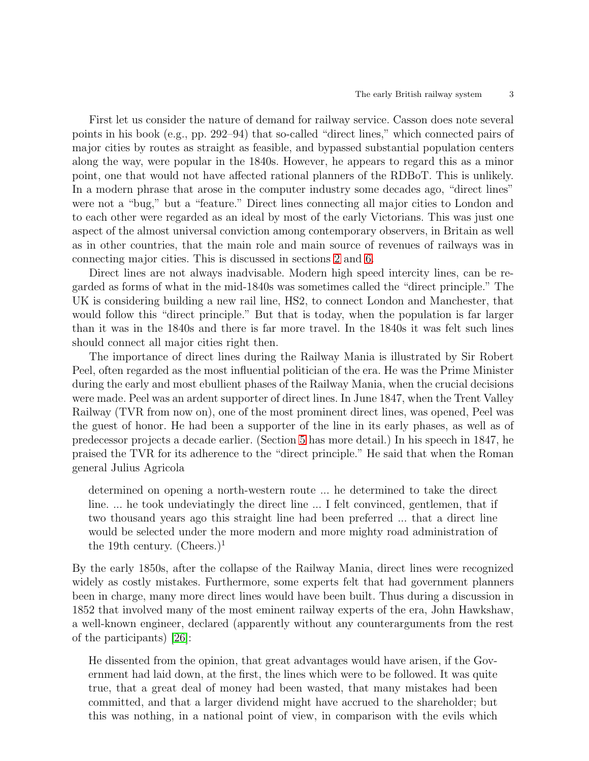First let us consider the nature of demand for railway service. Casson does note several points in his book (e.g., pp. 292–94) that so-called "direct lines," which connected pairs of major cities by routes as straight as feasible, and bypassed substantial population centers along the way, were popular in the 1840s. However, he appears to regard this as a minor point, one that would not have affected rational planners of the RDBoT. This is unlikely. In a modern phrase that arose in the computer industry some decades ago, "direct lines" were not a "bug," but a "feature." Direct lines connecting all major cities to London and to each other were regarded as an ideal by most of the early Victorians. This was just one aspect of the almost universal conviction among contemporary observers, in Britain as well as in other countries, that the main role and main source of revenues of railways was in connecting major cities. This is discussed in sections [2](#page-3-0) and [6.](#page-9-0)

Direct lines are not always inadvisable. Modern high speed intercity lines, can be regarded as forms of what in the mid-1840s was sometimes called the "direct principle." The UK is considering building a new rail line, HS2, to connect London and Manchester, that would follow this "direct principle." But that is today, when the population is far larger than it was in the 1840s and there is far more travel. In the 1840s it was felt such lines should connect all major cities right then.

The importance of direct lines during the Railway Mania is illustrated by Sir Robert Peel, often regarded as the most influential politician of the era. He was the Prime Minister during the early and most ebullient phases of the Railway Mania, when the crucial decisions were made. Peel was an ardent supporter of direct lines. In June 1847, when the Trent Valley Railway (TVR from now on), one of the most prominent direct lines, was opened, Peel was the guest of honor. He had been a supporter of the line in its early phases, as well as of predecessor projects a decade earlier. (Section [5](#page-7-0) has more detail.) In his speech in 1847, he praised the TVR for its adherence to the "direct principle." He said that when the Roman general Julius Agricola

determined on opening a north-western route ... he determined to take the direct line. ... he took undeviatingly the direct line ... I felt convinced, gentlemen, that if two thousand years ago this straight line had been preferred ... that a direct line would be selected under the more modern and more mighty road administration of the 19th century. (Cheers.)<sup>1</sup>

By the early 1850s, after the collapse of the Railway Mania, direct lines were recognized widely as costly mistakes. Furthermore, some experts felt that had government planners been in charge, many more direct lines would have been built. Thus during a discussion in 1852 that involved many of the most eminent railway experts of the era, John Hawkshaw, a well-known engineer, declared (apparently without any counterarguments from the rest of the participants) [\[26\]](#page-24-0):

He dissented from the opinion, that great advantages would have arisen, if the Government had laid down, at the first, the lines which were to be followed. It was quite true, that a great deal of money had been wasted, that many mistakes had been committed, and that a larger dividend might have accrued to the shareholder; but this was nothing, in a national point of view, in comparison with the evils which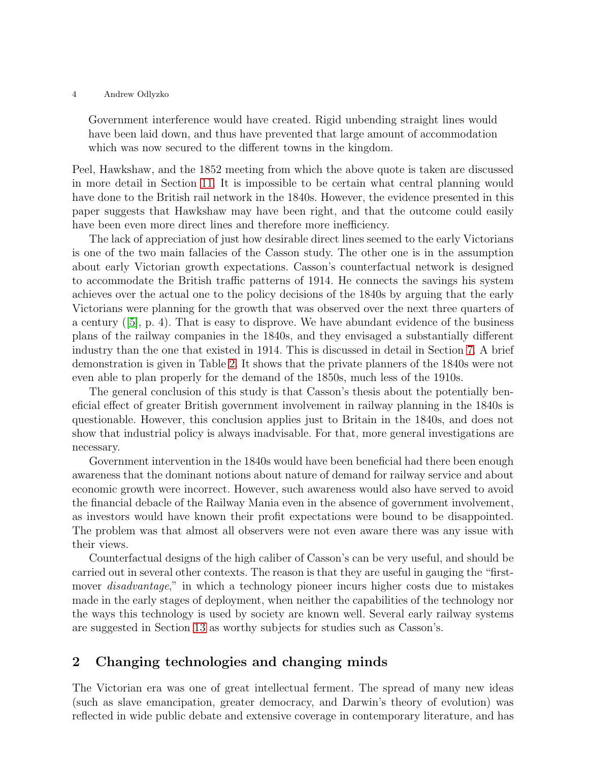Government interference would have created. Rigid unbending straight lines would have been laid down, and thus have prevented that large amount of accommodation which was now secured to the different towns in the kingdom.

Peel, Hawkshaw, and the 1852 meeting from which the above quote is taken are discussed in more detail in Section [11.](#page-17-0) It is impossible to be certain what central planning would have done to the British rail network in the 1840s. However, the evidence presented in this paper suggests that Hawkshaw may have been right, and that the outcome could easily have been even more direct lines and therefore more inefficiency.

The lack of appreciation of just how desirable direct lines seemed to the early Victorians is one of the two main fallacies of the Casson study. The other one is in the assumption about early Victorian growth expectations. Casson's counterfactual network is designed to accommodate the British traffic patterns of 1914. He connects the savings his system achieves over the actual one to the policy decisions of the 1840s by arguing that the early Victorians were planning for the growth that was observed over the next three quarters of a century  $([5], p. 4)$  $([5], p. 4)$  $([5], p. 4)$ . That is easy to disprove. We have abundant evidence of the business plans of the railway companies in the 1840s, and they envisaged a substantially different industry than the one that existed in 1914. This is discussed in detail in Section [7.](#page-11-0) A brief demonstration is given in Table [2.](#page-14-0) It shows that the private planners of the 1840s were not even able to plan properly for the demand of the 1850s, much less of the 1910s.

The general conclusion of this study is that Casson's thesis about the potentially beneficial effect of greater British government involvement in railway planning in the 1840s is questionable. However, this conclusion applies just to Britain in the 1840s, and does not show that industrial policy is always inadvisable. For that, more general investigations are necessary.

Government intervention in the 1840s would have been beneficial had there been enough awareness that the dominant notions about nature of demand for railway service and about economic growth were incorrect. However, such awareness would also have served to avoid the financial debacle of the Railway Mania even in the absence of government involvement, as investors would have known their profit expectations were bound to be disappointed. The problem was that almost all observers were not even aware there was any issue with their views.

Counterfactual designs of the high caliber of Casson's can be very useful, and should be carried out in several other contexts. The reason is that they are useful in gauging the "firstmover *disadvantage*," in which a technology pioneer incurs higher costs due to mistakes made in the early stages of deployment, when neither the capabilities of the technology nor the ways this technology is used by society are known well. Several early railway systems are suggested in Section [13](#page-19-0) as worthy subjects for studies such as Casson's.

# <span id="page-3-0"></span>2 Changing technologies and changing minds

The Victorian era was one of great intellectual ferment. The spread of many new ideas (such as slave emancipation, greater democracy, and Darwin's theory of evolution) was reflected in wide public debate and extensive coverage in contemporary literature, and has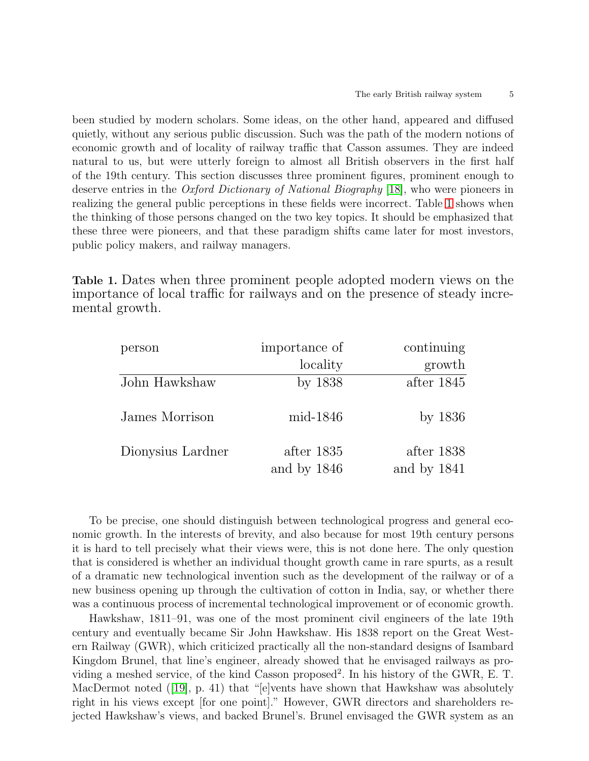been studied by modern scholars. Some ideas, on the other hand, appeared and diffused quietly, without any serious public discussion. Such was the path of the modern notions of economic growth and of locality of railway traffic that Casson assumes. They are indeed natural to us, but were utterly foreign to almost all British observers in the first half of the 19th century. This section discusses three prominent figures, prominent enough to deserve entries in the Oxford Dictionary of National Biography [\[18\]](#page-23-2), who were pioneers in realizing the general public perceptions in these fields were incorrect. Table [1](#page-4-0) shows when the thinking of those persons changed on the two key topics. It should be emphasized that these three were pioneers, and that these paradigm shifts came later for most investors, public policy makers, and railway managers.

<span id="page-4-0"></span>Table 1. Dates when three prominent people adopted modern views on the importance of local traffic for railways and on the presence of steady incremental growth.

| person            | importance of | continuing  |
|-------------------|---------------|-------------|
|                   | locality      | growth      |
| John Hawkshaw     | by 1838       | after 1845  |
| James Morrison    | mid-1846      | by $1836$   |
| Dionysius Lardner | after 1835    | after 1838  |
|                   | and by 1846   | and by 1841 |

To be precise, one should distinguish between technological progress and general economic growth. In the interests of brevity, and also because for most 19th century persons it is hard to tell precisely what their views were, this is not done here. The only question that is considered is whether an individual thought growth came in rare spurts, as a result of a dramatic new technological invention such as the development of the railway or of a new business opening up through the cultivation of cotton in India, say, or whether there was a continuous process of incremental technological improvement or of economic growth.

Hawkshaw, 1811–91, was one of the most prominent civil engineers of the late 19th century and eventually became Sir John Hawkshaw. His 1838 report on the Great Western Railway (GWR), which criticized practically all the non-standard designs of Isambard Kingdom Brunel, that line's engineer, already showed that he envisaged railways as providing a meshed service, of the kind Casson proposed<sup>2</sup>. In his history of the GWR, E. T. MacDermot noted ([\[19\]](#page-23-3), p. 41) that "[e]vents have shown that Hawkshaw was absolutely right in his views except [for one point]." However, GWR directors and shareholders rejected Hawkshaw's views, and backed Brunel's. Brunel envisaged the GWR system as an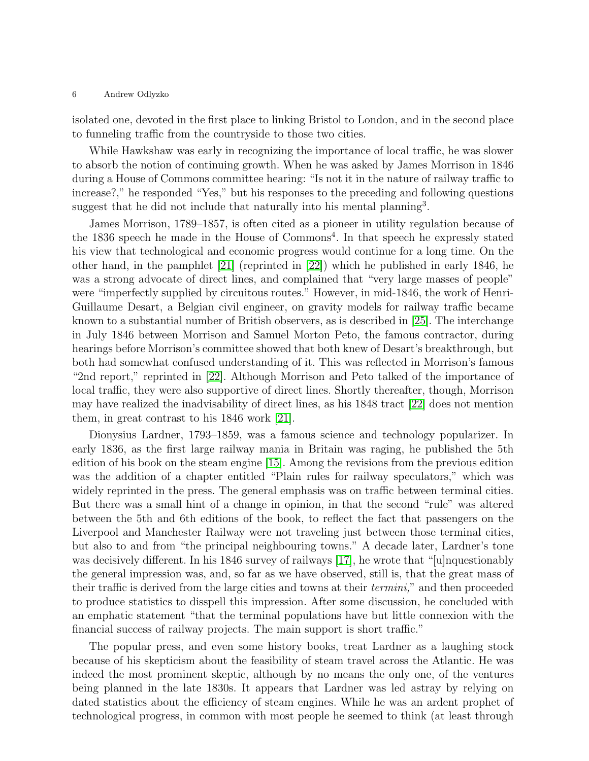isolated one, devoted in the first place to linking Bristol to London, and in the second place to funneling traffic from the countryside to those two cities.

While Hawkshaw was early in recognizing the importance of local traffic, he was slower to absorb the notion of continuing growth. When he was asked by James Morrison in 1846 during a House of Commons committee hearing: "Is not it in the nature of railway traffic to increase?," he responded "Yes," but his responses to the preceding and following questions suggest that he did not include that naturally into his mental planning<sup>3</sup>.

James Morrison, 1789–1857, is often cited as a pioneer in utility regulation because of the 1836 speech he made in the House of Commons<sup>4</sup>. In that speech he expressly stated his view that technological and economic progress would continue for a long time. On the other hand, in the pamphlet [\[21\]](#page-23-4) (reprinted in [\[22\]](#page-23-5)) which he published in early 1846, he was a strong advocate of direct lines, and complained that "very large masses of people" were "imperfectly supplied by circuitous routes." However, in mid-1846, the work of Henri-Guillaume Desart, a Belgian civil engineer, on gravity models for railway traffic became known to a substantial number of British observers, as is described in [\[25\]](#page-24-1). The interchange in July 1846 between Morrison and Samuel Morton Peto, the famous contractor, during hearings before Morrison's committee showed that both knew of Desart's breakthrough, but both had somewhat confused understanding of it. This was reflected in Morrison's famous "2nd report," reprinted in [\[22\]](#page-23-5). Although Morrison and Peto talked of the importance of local traffic, they were also supportive of direct lines. Shortly thereafter, though, Morrison may have realized the inadvisability of direct lines, as his 1848 tract [\[22\]](#page-23-5) does not mention them, in great contrast to his 1846 work [\[21\]](#page-23-4).

Dionysius Lardner, 1793–1859, was a famous science and technology popularizer. In early 1836, as the first large railway mania in Britain was raging, he published the 5th edition of his book on the steam engine [\[15\]](#page-23-6). Among the revisions from the previous edition was the addition of a chapter entitled "Plain rules for railway speculators," which was widely reprinted in the press. The general emphasis was on traffic between terminal cities. But there was a small hint of a change in opinion, in that the second "rule" was altered between the 5th and 6th editions of the book, to reflect the fact that passengers on the Liverpool and Manchester Railway were not traveling just between those terminal cities, but also to and from "the principal neighbouring towns." A decade later, Lardner's tone was decisively different. In his 1846 survey of railways [\[17\]](#page-23-7), he wrote that "[u]nquestionably the general impression was, and, so far as we have observed, still is, that the great mass of their traffic is derived from the large cities and towns at their termini," and then proceeded to produce statistics to disspell this impression. After some discussion, he concluded with an emphatic statement "that the terminal populations have but little connexion with the financial success of railway projects. The main support is short traffic."

The popular press, and even some history books, treat Lardner as a laughing stock because of his skepticism about the feasibility of steam travel across the Atlantic. He was indeed the most prominent skeptic, although by no means the only one, of the ventures being planned in the late 1830s. It appears that Lardner was led astray by relying on dated statistics about the efficiency of steam engines. While he was an ardent prophet of technological progress, in common with most people he seemed to think (at least through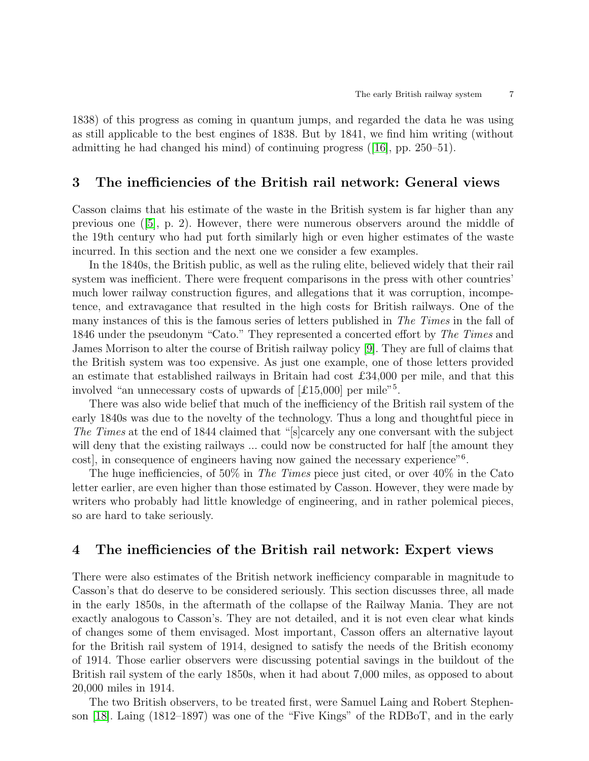1838) of this progress as coming in quantum jumps, and regarded the data he was using as still applicable to the best engines of 1838. But by 1841, we find him writing (without admitting he had changed his mind) of continuing progress ([\[16\]](#page-23-8), pp. 250–51).

### <span id="page-6-1"></span>3 The inefficiencies of the British rail network: General views

Casson claims that his estimate of the waste in the British system is far higher than any previous one ([\[5\]](#page-23-0), p. 2). However, there were numerous observers around the middle of the 19th century who had put forth similarly high or even higher estimates of the waste incurred. In this section and the next one we consider a few examples.

In the 1840s, the British public, as well as the ruling elite, believed widely that their rail system was inefficient. There were frequent comparisons in the press with other countries' much lower railway construction figures, and allegations that it was corruption, incompetence, and extravagance that resulted in the high costs for British railways. One of the many instances of this is the famous series of letters published in The Times in the fall of 1846 under the pseudonym "Cato." They represented a concerted effort by The Times and James Morrison to alter the course of British railway policy [\[9\]](#page-23-9). They are full of claims that the British system was too expensive. As just one example, one of those letters provided an estimate that established railways in Britain had cost  $\pounds34,000$  per mile, and that this involved "an unnecessary costs of upwards of  $[£15,000]$  per mile"<sup>5</sup>.

There was also wide belief that much of the inefficiency of the British rail system of the early 1840s was due to the novelty of the technology. Thus a long and thoughtful piece in The Times at the end of 1844 claimed that "[s]carcely any one conversant with the subject will deny that the existing railways ... could now be constructed for half [the amount they cost], in consequence of engineers having now gained the necessary experience"<sup>6</sup>.

The huge inefficiencies, of 50% in The Times piece just cited, or over  $40\%$  in the Cato letter earlier, are even higher than those estimated by Casson. However, they were made by writers who probably had little knowledge of engineering, and in rather polemical pieces, so are hard to take seriously.

# <span id="page-6-0"></span>4 The inefficiencies of the British rail network: Expert views

There were also estimates of the British network inefficiency comparable in magnitude to Casson's that do deserve to be considered seriously. This section discusses three, all made in the early 1850s, in the aftermath of the collapse of the Railway Mania. They are not exactly analogous to Casson's. They are not detailed, and it is not even clear what kinds of changes some of them envisaged. Most important, Casson offers an alternative layout for the British rail system of 1914, designed to satisfy the needs of the British economy of 1914. Those earlier observers were discussing potential savings in the buildout of the British rail system of the early 1850s, when it had about 7,000 miles, as opposed to about 20,000 miles in 1914.

The two British observers, to be treated first, were Samuel Laing and Robert Stephenson [\[18\]](#page-23-2). Laing (1812–1897) was one of the "Five Kings" of the RDBoT, and in the early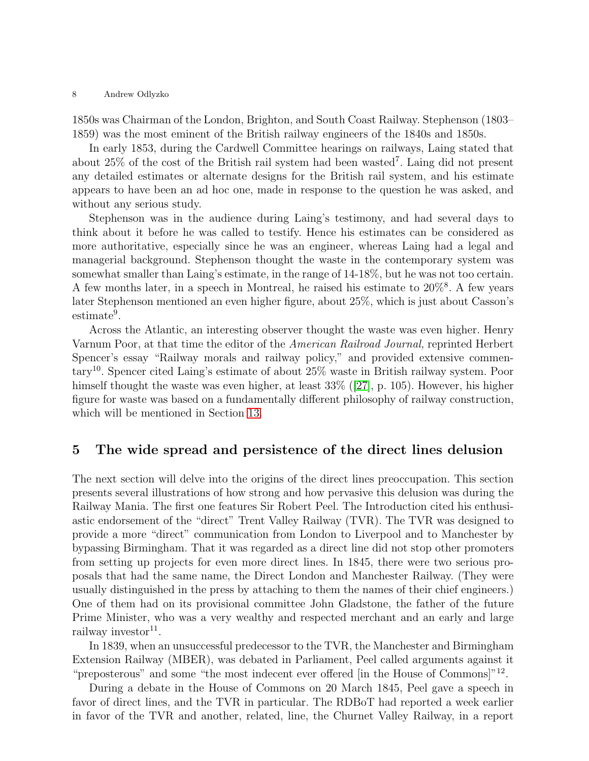1850s was Chairman of the London, Brighton, and South Coast Railway. Stephenson (1803– 1859) was the most eminent of the British railway engineers of the 1840s and 1850s.

In early 1853, during the Cardwell Committee hearings on railways, Laing stated that about 25% of the cost of the British rail system had been wasted<sup>7</sup>. Laing did not present any detailed estimates or alternate designs for the British rail system, and his estimate appears to have been an ad hoc one, made in response to the question he was asked, and without any serious study.

Stephenson was in the audience during Laing's testimony, and had several days to think about it before he was called to testify. Hence his estimates can be considered as more authoritative, especially since he was an engineer, whereas Laing had a legal and managerial background. Stephenson thought the waste in the contemporary system was somewhat smaller than Laing's estimate, in the range of 14-18%, but he was not too certain. A few months later, in a speech in Montreal, he raised his estimate to  $20\%$ <sup>8</sup>. A few years later Stephenson mentioned an even higher figure, about 25%, which is just about Casson's  $estimate<sup>9</sup>$ .

Across the Atlantic, an interesting observer thought the waste was even higher. Henry Varnum Poor, at that time the editor of the American Railroad Journal, reprinted Herbert Spencer's essay "Railway morals and railway policy," and provided extensive commentary<sup>10</sup>. Spencer cited Laing's estimate of about 25% waste in British railway system. Poor himself thought the waste was even higher, at least 33% ([\[27\]](#page-24-2), p. 105). However, his higher figure for waste was based on a fundamentally different philosophy of railway construction, which will be mentioned in Section [13.](#page-19-0)

# <span id="page-7-0"></span>5 The wide spread and persistence of the direct lines delusion

The next section will delve into the origins of the direct lines preoccupation. This section presents several illustrations of how strong and how pervasive this delusion was during the Railway Mania. The first one features Sir Robert Peel. The Introduction cited his enthusiastic endorsement of the "direct" Trent Valley Railway (TVR). The TVR was designed to provide a more "direct" communication from London to Liverpool and to Manchester by bypassing Birmingham. That it was regarded as a direct line did not stop other promoters from setting up projects for even more direct lines. In 1845, there were two serious proposals that had the same name, the Direct London and Manchester Railway. (They were usually distinguished in the press by attaching to them the names of their chief engineers.) One of them had on its provisional committee John Gladstone, the father of the future Prime Minister, who was a very wealthy and respected merchant and an early and large railway investor<sup>11</sup>.

In 1839, when an unsuccessful predecessor to the TVR, the Manchester and Birmingham Extension Railway (MBER), was debated in Parliament, Peel called arguments against it "preposterous" and some "the most indecent ever offered [in the House of Commons]"<sup>12</sup>.

During a debate in the House of Commons on 20 March 1845, Peel gave a speech in favor of direct lines, and the TVR in particular. The RDBoT had reported a week earlier in favor of the TVR and another, related, line, the Churnet Valley Railway, in a report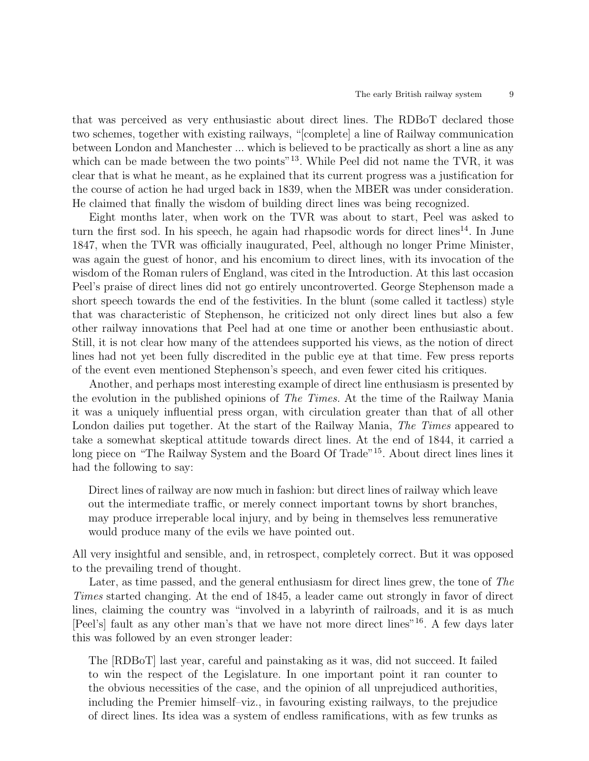that was perceived as very enthusiastic about direct lines. The RDBoT declared those two schemes, together with existing railways, "[complete] a line of Railway communication between London and Manchester ... which is believed to be practically as short a line as any which can be made between the two points<sup>"13</sup>. While Peel did not name the TVR, it was clear that is what he meant, as he explained that its current progress was a justification for the course of action he had urged back in 1839, when the MBER was under consideration. He claimed that finally the wisdom of building direct lines was being recognized.

Eight months later, when work on the TVR was about to start, Peel was asked to turn the first sod. In his speech, he again had rhapsodic words for direct lines<sup>14</sup>. In June 1847, when the TVR was officially inaugurated, Peel, although no longer Prime Minister, was again the guest of honor, and his encomium to direct lines, with its invocation of the wisdom of the Roman rulers of England, was cited in the Introduction. At this last occasion Peel's praise of direct lines did not go entirely uncontroverted. George Stephenson made a short speech towards the end of the festivities. In the blunt (some called it tactless) style that was characteristic of Stephenson, he criticized not only direct lines but also a few other railway innovations that Peel had at one time or another been enthusiastic about. Still, it is not clear how many of the attendees supported his views, as the notion of direct lines had not yet been fully discredited in the public eye at that time. Few press reports of the event even mentioned Stephenson's speech, and even fewer cited his critiques.

Another, and perhaps most interesting example of direct line enthusiasm is presented by the evolution in the published opinions of The Times. At the time of the Railway Mania it was a uniquely influential press organ, with circulation greater than that of all other London dailies put together. At the start of the Railway Mania, The Times appeared to take a somewhat skeptical attitude towards direct lines. At the end of 1844, it carried a long piece on "The Railway System and the Board Of Trade"<sup>15</sup>. About direct lines lines it had the following to say:

Direct lines of railway are now much in fashion: but direct lines of railway which leave out the intermediate traffic, or merely connect important towns by short branches, may produce irreperable local injury, and by being in themselves less remunerative would produce many of the evils we have pointed out.

All very insightful and sensible, and, in retrospect, completely correct. But it was opposed to the prevailing trend of thought.

Later, as time passed, and the general enthusiasm for direct lines grew, the tone of The Times started changing. At the end of 1845, a leader came out strongly in favor of direct lines, claiming the country was "involved in a labyrinth of railroads, and it is as much [Peel's] fault as any other man's that we have not more direct lines"<sup>16</sup>. A few days later this was followed by an even stronger leader:

The [RDBoT] last year, careful and painstaking as it was, did not succeed. It failed to win the respect of the Legislature. In one important point it ran counter to the obvious necessities of the case, and the opinion of all unprejudiced authorities, including the Premier himself–viz., in favouring existing railways, to the prejudice of direct lines. Its idea was a system of endless ramifications, with as few trunks as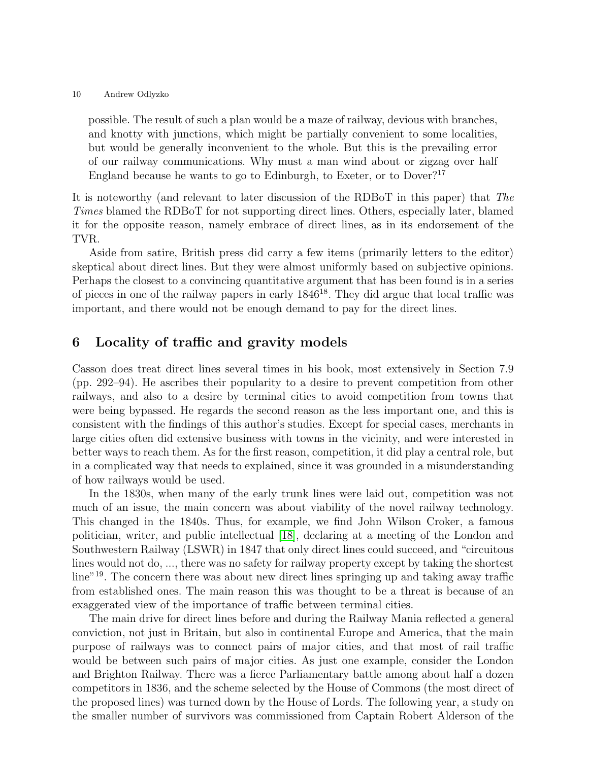possible. The result of such a plan would be a maze of railway, devious with branches, and knotty with junctions, which might be partially convenient to some localities, but would be generally inconvenient to the whole. But this is the prevailing error of our railway communications. Why must a man wind about or zigzag over half England because he wants to go to Edinburgh, to Exeter, or to Dover<sup>?17</sup>

It is noteworthy (and relevant to later discussion of the RDBoT in this paper) that The Times blamed the RDBoT for not supporting direct lines. Others, especially later, blamed it for the opposite reason, namely embrace of direct lines, as in its endorsement of the TVR.

Aside from satire, British press did carry a few items (primarily letters to the editor) skeptical about direct lines. But they were almost uniformly based on subjective opinions. Perhaps the closest to a convincing quantitative argument that has been found is in a series of pieces in one of the railway papers in early  $1846^{18}$ . They did argue that local traffic was important, and there would not be enough demand to pay for the direct lines.

# <span id="page-9-0"></span>6 Locality of traffic and gravity models

Casson does treat direct lines several times in his book, most extensively in Section 7.9 (pp. 292–94). He ascribes their popularity to a desire to prevent competition from other railways, and also to a desire by terminal cities to avoid competition from towns that were being bypassed. He regards the second reason as the less important one, and this is consistent with the findings of this author's studies. Except for special cases, merchants in large cities often did extensive business with towns in the vicinity, and were interested in better ways to reach them. As for the first reason, competition, it did play a central role, but in a complicated way that needs to explained, since it was grounded in a misunderstanding of how railways would be used.

In the 1830s, when many of the early trunk lines were laid out, competition was not much of an issue, the main concern was about viability of the novel railway technology. This changed in the 1840s. Thus, for example, we find John Wilson Croker, a famous politician, writer, and public intellectual [\[18\]](#page-23-2), declaring at a meeting of the London and Southwestern Railway (LSWR) in 1847 that only direct lines could succeed, and "circuitous lines would not do, ..., there was no safety for railway property except by taking the shortest line"<sup>19</sup>. The concern there was about new direct lines springing up and taking away traffic from established ones. The main reason this was thought to be a threat is because of an exaggerated view of the importance of traffic between terminal cities.

The main drive for direct lines before and during the Railway Mania reflected a general conviction, not just in Britain, but also in continental Europe and America, that the main purpose of railways was to connect pairs of major cities, and that most of rail traffic would be between such pairs of major cities. As just one example, consider the London and Brighton Railway. There was a fierce Parliamentary battle among about half a dozen competitors in 1836, and the scheme selected by the House of Commons (the most direct of the proposed lines) was turned down by the House of Lords. The following year, a study on the smaller number of survivors was commissioned from Captain Robert Alderson of the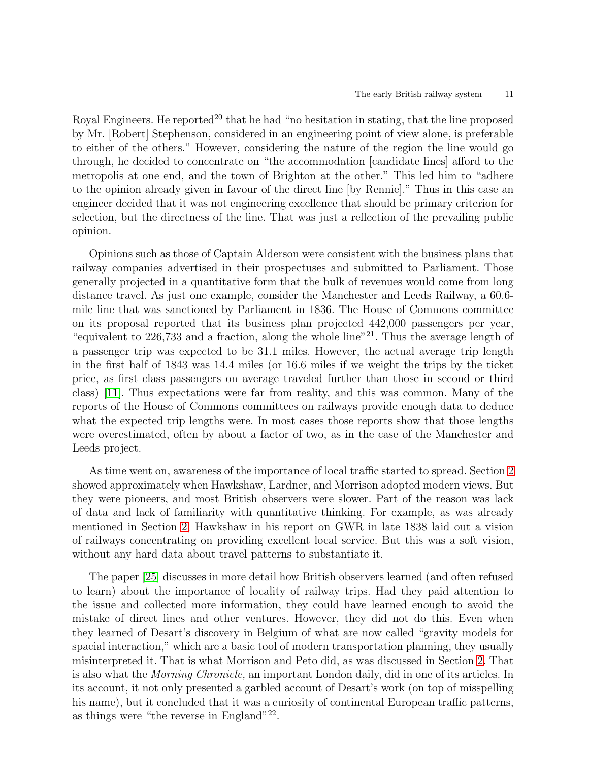Royal Engineers. He reported<sup>20</sup> that he had "no hesitation in stating, that the line proposed by Mr. [Robert] Stephenson, considered in an engineering point of view alone, is preferable to either of the others." However, considering the nature of the region the line would go through, he decided to concentrate on "the accommodation [candidate lines] afford to the metropolis at one end, and the town of Brighton at the other." This led him to "adhere to the opinion already given in favour of the direct line [by Rennie]." Thus in this case an engineer decided that it was not engineering excellence that should be primary criterion for selection, but the directness of the line. That was just a reflection of the prevailing public opinion.

Opinions such as those of Captain Alderson were consistent with the business plans that railway companies advertised in their prospectuses and submitted to Parliament. Those generally projected in a quantitative form that the bulk of revenues would come from long distance travel. As just one example, consider the Manchester and Leeds Railway, a 60.6 mile line that was sanctioned by Parliament in 1836. The House of Commons committee on its proposal reported that its business plan projected 442,000 passengers per year, "equivalent to  $226,733$  and a fraction, along the whole line"<sup>21</sup>. Thus the average length of a passenger trip was expected to be 31.1 miles. However, the actual average trip length in the first half of 1843 was 14.4 miles (or 16.6 miles if we weight the trips by the ticket price, as first class passengers on average traveled further than those in second or third class) [\[11\]](#page-23-10). Thus expectations were far from reality, and this was common. Many of the reports of the House of Commons committees on railways provide enough data to deduce what the expected trip lengths were. In most cases those reports show that those lengths were overestimated, often by about a factor of two, as in the case of the Manchester and Leeds project.

As time went on, awareness of the importance of local traffic started to spread. Section [2](#page-3-0) showed approximately when Hawkshaw, Lardner, and Morrison adopted modern views. But they were pioneers, and most British observers were slower. Part of the reason was lack of data and lack of familiarity with quantitative thinking. For example, as was already mentioned in Section [2,](#page-3-0) Hawkshaw in his report on GWR in late 1838 laid out a vision of railways concentrating on providing excellent local service. But this was a soft vision, without any hard data about travel patterns to substantiate it.

The paper [\[25\]](#page-24-1) discusses in more detail how British observers learned (and often refused to learn) about the importance of locality of railway trips. Had they paid attention to the issue and collected more information, they could have learned enough to avoid the mistake of direct lines and other ventures. However, they did not do this. Even when they learned of Desart's discovery in Belgium of what are now called "gravity models for spacial interaction," which are a basic tool of modern transportation planning, they usually misinterpreted it. That is what Morrison and Peto did, as was discussed in Section [2.](#page-3-0) That is also what the Morning Chronicle, an important London daily, did in one of its articles. In its account, it not only presented a garbled account of Desart's work (on top of misspelling his name), but it concluded that it was a curiosity of continental European traffic patterns, as things were "the reverse in England"<sup>22</sup>.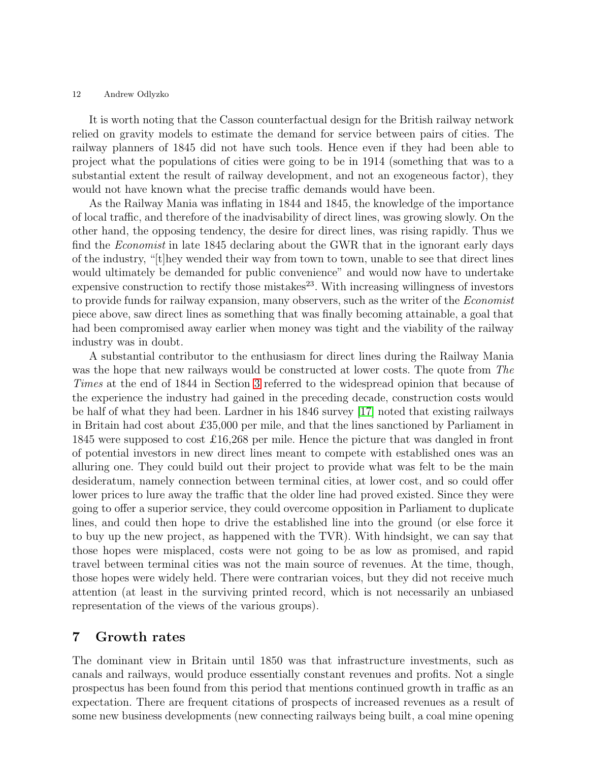It is worth noting that the Casson counterfactual design for the British railway network relied on gravity models to estimate the demand for service between pairs of cities. The railway planners of 1845 did not have such tools. Hence even if they had been able to project what the populations of cities were going to be in 1914 (something that was to a substantial extent the result of railway development, and not an exogeneous factor), they would not have known what the precise traffic demands would have been.

As the Railway Mania was inflating in 1844 and 1845, the knowledge of the importance of local traffic, and therefore of the inadvisability of direct lines, was growing slowly. On the other hand, the opposing tendency, the desire for direct lines, was rising rapidly. Thus we find the Economist in late 1845 declaring about the GWR that in the ignorant early days of the industry, "[t]hey wended their way from town to town, unable to see that direct lines would ultimately be demanded for public convenience" and would now have to undertake expensive construction to rectify those mistakes<sup>23</sup>. With increasing willingness of investors to provide funds for railway expansion, many observers, such as the writer of the Economist piece above, saw direct lines as something that was finally becoming attainable, a goal that had been compromised away earlier when money was tight and the viability of the railway industry was in doubt.

A substantial contributor to the enthusiasm for direct lines during the Railway Mania was the hope that new railways would be constructed at lower costs. The quote from The Times at the end of 1844 in Section [3](#page-6-1) referred to the widespread opinion that because of the experience the industry had gained in the preceding decade, construction costs would be half of what they had been. Lardner in his 1846 survey [\[17\]](#page-23-7) noted that existing railways in Britain had cost about £35,000 per mile, and that the lines sanctioned by Parliament in 1845 were supposed to cost £16,268 per mile. Hence the picture that was dangled in front of potential investors in new direct lines meant to compete with established ones was an alluring one. They could build out their project to provide what was felt to be the main desideratum, namely connection between terminal cities, at lower cost, and so could offer lower prices to lure away the traffic that the older line had proved existed. Since they were going to offer a superior service, they could overcome opposition in Parliament to duplicate lines, and could then hope to drive the established line into the ground (or else force it to buy up the new project, as happened with the TVR). With hindsight, we can say that those hopes were misplaced, costs were not going to be as low as promised, and rapid travel between terminal cities was not the main source of revenues. At the time, though, those hopes were widely held. There were contrarian voices, but they did not receive much attention (at least in the surviving printed record, which is not necessarily an unbiased representation of the views of the various groups).

## <span id="page-11-0"></span>7 Growth rates

The dominant view in Britain until 1850 was that infrastructure investments, such as canals and railways, would produce essentially constant revenues and profits. Not a single prospectus has been found from this period that mentions continued growth in traffic as an expectation. There are frequent citations of prospects of increased revenues as a result of some new business developments (new connecting railways being built, a coal mine opening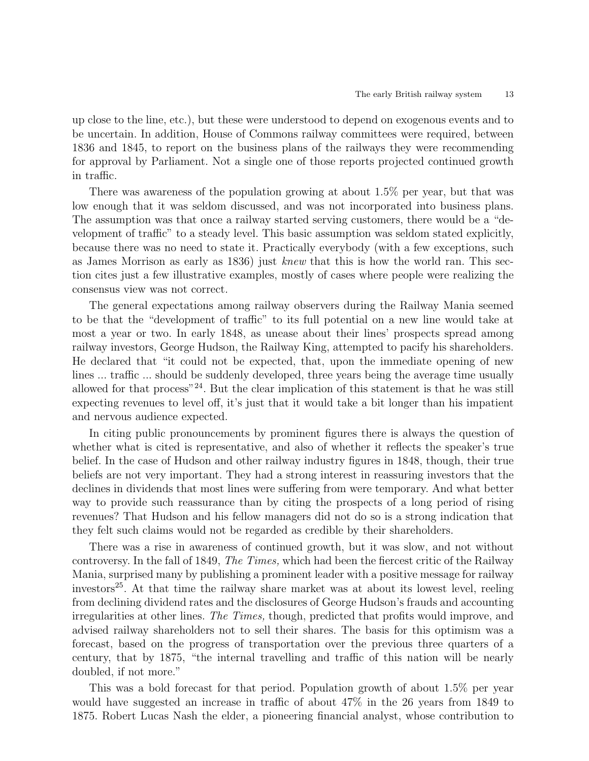up close to the line, etc.), but these were understood to depend on exogenous events and to be uncertain. In addition, House of Commons railway committees were required, between 1836 and 1845, to report on the business plans of the railways they were recommending for approval by Parliament. Not a single one of those reports projected continued growth in traffic.

There was awareness of the population growing at about 1.5% per year, but that was low enough that it was seldom discussed, and was not incorporated into business plans. The assumption was that once a railway started serving customers, there would be a "development of traffic" to a steady level. This basic assumption was seldom stated explicitly, because there was no need to state it. Practically everybody (with a few exceptions, such as James Morrison as early as 1836) just knew that this is how the world ran. This section cites just a few illustrative examples, mostly of cases where people were realizing the consensus view was not correct.

The general expectations among railway observers during the Railway Mania seemed to be that the "development of traffic" to its full potential on a new line would take at most a year or two. In early 1848, as unease about their lines' prospects spread among railway investors, George Hudson, the Railway King, attempted to pacify his shareholders. He declared that "it could not be expected, that, upon the immediate opening of new lines ... traffic ... should be suddenly developed, three years being the average time usually allowed for that process"<sup>24</sup>. But the clear implication of this statement is that he was still expecting revenues to level off, it's just that it would take a bit longer than his impatient and nervous audience expected.

In citing public pronouncements by prominent figures there is always the question of whether what is cited is representative, and also of whether it reflects the speaker's true belief. In the case of Hudson and other railway industry figures in 1848, though, their true beliefs are not very important. They had a strong interest in reassuring investors that the declines in dividends that most lines were suffering from were temporary. And what better way to provide such reassurance than by citing the prospects of a long period of rising revenues? That Hudson and his fellow managers did not do so is a strong indication that they felt such claims would not be regarded as credible by their shareholders.

There was a rise in awareness of continued growth, but it was slow, and not without controversy. In the fall of 1849, The Times, which had been the fiercest critic of the Railway Mania, surprised many by publishing a prominent leader with a positive message for railway investors<sup>25</sup>. At that time the railway share market was at about its lowest level, reeling from declining dividend rates and the disclosures of George Hudson's frauds and accounting irregularities at other lines. The Times, though, predicted that profits would improve, and advised railway shareholders not to sell their shares. The basis for this optimism was a forecast, based on the progress of transportation over the previous three quarters of a century, that by 1875, "the internal travelling and traffic of this nation will be nearly doubled, if not more."

This was a bold forecast for that period. Population growth of about 1.5% per year would have suggested an increase in traffic of about 47% in the 26 years from 1849 to 1875. Robert Lucas Nash the elder, a pioneering financial analyst, whose contribution to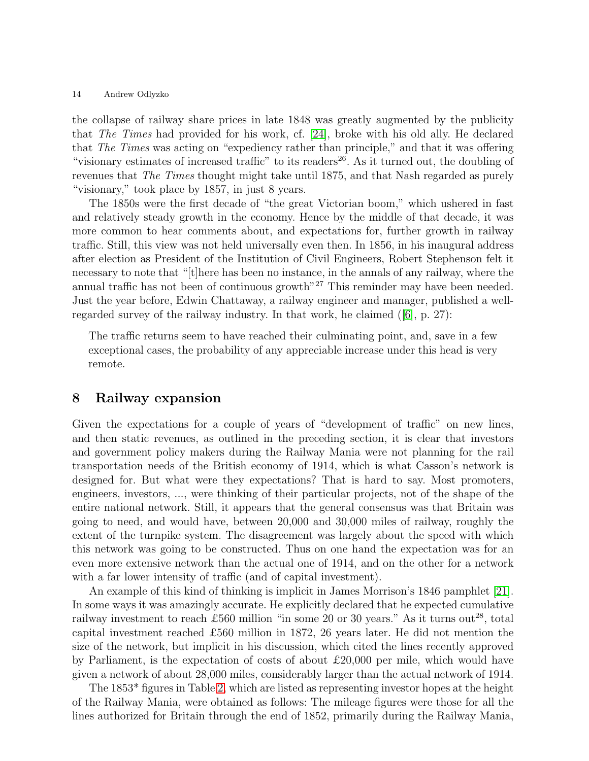the collapse of railway share prices in late 1848 was greatly augmented by the publicity that The Times had provided for his work, cf. [\[24\]](#page-24-3), broke with his old ally. He declared that The Times was acting on "expediency rather than principle," and that it was offering "visionary estimates of increased traffic" to its readers<sup>26</sup>. As it turned out, the doubling of revenues that The Times thought might take until 1875, and that Nash regarded as purely "visionary," took place by 1857, in just 8 years.

The 1850s were the first decade of "the great Victorian boom," which ushered in fast and relatively steady growth in the economy. Hence by the middle of that decade, it was more common to hear comments about, and expectations for, further growth in railway traffic. Still, this view was not held universally even then. In 1856, in his inaugural address after election as President of the Institution of Civil Engineers, Robert Stephenson felt it necessary to note that "[t]here has been no instance, in the annals of any railway, where the annual traffic has not been of continuous growth<sup>"27</sup> This reminder may have been needed. Just the year before, Edwin Chattaway, a railway engineer and manager, published a wellregarded survey of the railway industry. In that work, he claimed  $([6], p. 27)$  $([6], p. 27)$  $([6], p. 27)$ :

The traffic returns seem to have reached their culminating point, and, save in a few exceptional cases, the probability of any appreciable increase under this head is very remote.

### <span id="page-13-0"></span>8 Railway expansion

Given the expectations for a couple of years of "development of traffic" on new lines, and then static revenues, as outlined in the preceding section, it is clear that investors and government policy makers during the Railway Mania were not planning for the rail transportation needs of the British economy of 1914, which is what Casson's network is designed for. But what were they expectations? That is hard to say. Most promoters, engineers, investors, ..., were thinking of their particular projects, not of the shape of the entire national network. Still, it appears that the general consensus was that Britain was going to need, and would have, between 20,000 and 30,000 miles of railway, roughly the extent of the turnpike system. The disagreement was largely about the speed with which this network was going to be constructed. Thus on one hand the expectation was for an even more extensive network than the actual one of 1914, and on the other for a network with a far lower intensity of traffic (and of capital investment).

An example of this kind of thinking is implicit in James Morrison's 1846 pamphlet [\[21\]](#page-23-4). In some ways it was amazingly accurate. He explicitly declared that he expected cumulative railway investment to reach £560 million "in some 20 or 30 years." As it turns out<sup>28</sup>, total capital investment reached £560 million in 1872, 26 years later. He did not mention the size of the network, but implicit in his discussion, which cited the lines recently approved by Parliament, is the expectation of costs of about £20,000 per mile, which would have given a network of about 28,000 miles, considerably larger than the actual network of 1914.

The 1853\* figures in Table [2,](#page-14-0) which are listed as representing investor hopes at the height of the Railway Mania, were obtained as follows: The mileage figures were those for all the lines authorized for Britain through the end of 1852, primarily during the Railway Mania,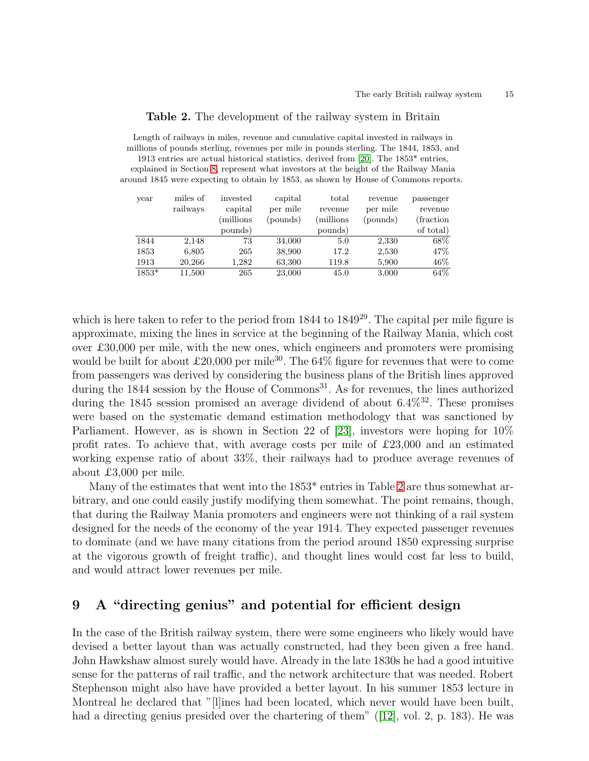#### <span id="page-14-0"></span>Table 2. The development of the railway system in Britain

| Length of railways in miles, revenue and cumulative capital invested in railways in              |
|--------------------------------------------------------------------------------------------------|
| millions of pounds sterling, revenues per mile in pounds sterling. The 1844, 1853, and           |
| 1913 entries are actual historical statistics, derived from [20]. The 1853 <sup>*</sup> entries, |
| explained in Section 8, represent what investors at the height of the Railway Mania              |
| around 1845 were expecting to obtain by 1853, as shown by House of Commons reports.              |
|                                                                                                  |

| year  | miles of | invested | capital  | total    | revenue  | passenger  |
|-------|----------|----------|----------|----------|----------|------------|
|       | railways | capital  | per mile | revenue  | per mile | revenue    |
|       |          | millions | (pounds) | millions | (pounds) | (fraction) |
|       |          | pounds)  |          | pounds)  |          | of total)  |
| 1844  | 2.148    | 73       | 34,000   | 5.0      | 2,330    | 68\%       |
| 1853  | 6,805    | 265      | 38,900   | 17.2     | 2,530    | 47\%       |
| 1913  | 20,266   | 1,282    | 63,300   | 119.8    | 5,900    | $46\%$     |
| 1853* | 11,500   | 265      | 23,000   | 45.0     | 3,000    | 64%        |

which is here taken to refer to the period from  $1844$  to  $1849^{29}$ . The capital per mile figure is approximate, mixing the lines in service at the beginning of the Railway Mania, which cost over £30,000 per mile, with the new ones, which engineers and promoters were promising would be built for about £20,000 per mile<sup>30</sup>. The 64% figure for revenues that were to come from passengers was derived by considering the business plans of the British lines approved during the  $1844$  session by the House of Commons<sup>31</sup>. As for revenues, the lines authorized during the 1845 session promised an average dividend of about  $6.4\%^{32}$ . These promises were based on the systematic demand estimation methodology that was sanctioned by Parliament. However, as is shown in Section 22 of [\[23\]](#page-23-12), investors were hoping for 10% profit rates. To achieve that, with average costs per mile of  $\pounds23,000$  and an estimated working expense ratio of about 33%, their railways had to produce average revenues of about £3,000 per mile.

Many of the estimates that went into the 1853\* entries in Table [2](#page-14-0) are thus somewhat arbitrary, and one could easily justify modifying them somewhat. The point remains, though, that during the Railway Mania promoters and engineers were not thinking of a rail system designed for the needs of the economy of the year 1914. They expected passenger revenues to dominate (and we have many citations from the period around 1850 expressing surprise at the vigorous growth of freight traffic), and thought lines would cost far less to build, and would attract lower revenues per mile.

# <span id="page-14-1"></span>9 A "directing genius" and potential for efficient design

In the case of the British railway system, there were some engineers who likely would have devised a better layout than was actually constructed, had they been given a free hand. John Hawkshaw almost surely would have. Already in the late 1830s he had a good intuitive sense for the patterns of rail traffic, and the network architecture that was needed. Robert Stephenson might also have have provided a better layout. In his summer 1853 lecture in Montreal he declared that "[l]ines had been located, which never would have been built, had a directing genius presided over the chartering of them" ([\[12\]](#page-23-13), vol. 2, p. 183). He was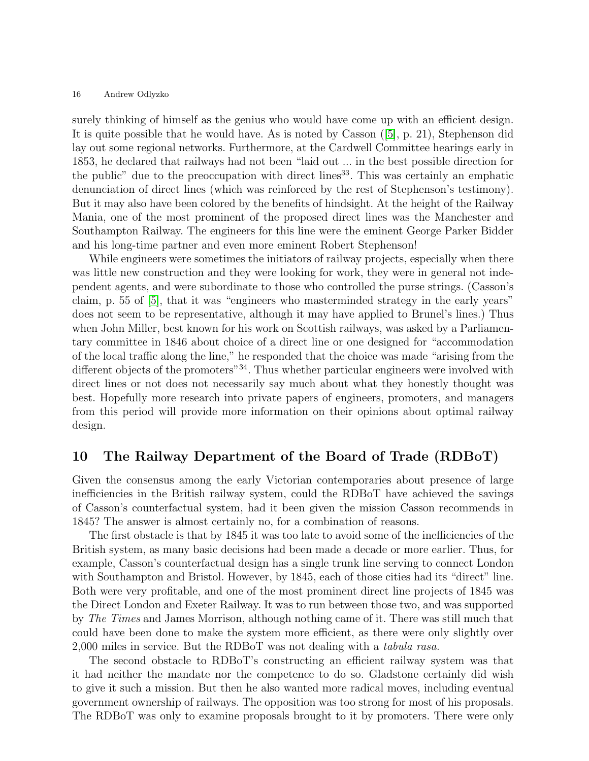surely thinking of himself as the genius who would have come up with an efficient design. It is quite possible that he would have. As is noted by Casson ([\[5\]](#page-23-0), p. 21), Stephenson did lay out some regional networks. Furthermore, at the Cardwell Committee hearings early in 1853, he declared that railways had not been "laid out ... in the best possible direction for the public" due to the preoccupation with direct lines<sup>33</sup>. This was certainly an emphatic denunciation of direct lines (which was reinforced by the rest of Stephenson's testimony). But it may also have been colored by the benefits of hindsight. At the height of the Railway Mania, one of the most prominent of the proposed direct lines was the Manchester and Southampton Railway. The engineers for this line were the eminent George Parker Bidder and his long-time partner and even more eminent Robert Stephenson!

While engineers were sometimes the initiators of railway projects, especially when there was little new construction and they were looking for work, they were in general not independent agents, and were subordinate to those who controlled the purse strings. (Casson's claim, p. 55 of [\[5\]](#page-23-0), that it was "engineers who masterminded strategy in the early years" does not seem to be representative, although it may have applied to Brunel's lines.) Thus when John Miller, best known for his work on Scottish railways, was asked by a Parliamentary committee in 1846 about choice of a direct line or one designed for "accommodation of the local traffic along the line," he responded that the choice was made "arising from the different objects of the promoters<sup>"34</sup>. Thus whether particular engineers were involved with direct lines or not does not necessarily say much about what they honestly thought was best. Hopefully more research into private papers of engineers, promoters, and managers from this period will provide more information on their opinions about optimal railway design.

### 10 The Railway Department of the Board of Trade (RDBoT)

Given the consensus among the early Victorian contemporaries about presence of large inefficiencies in the British railway system, could the RDBoT have achieved the savings of Casson's counterfactual system, had it been given the mission Casson recommends in 1845? The answer is almost certainly no, for a combination of reasons.

The first obstacle is that by 1845 it was too late to avoid some of the inefficiencies of the British system, as many basic decisions had been made a decade or more earlier. Thus, for example, Casson's counterfactual design has a single trunk line serving to connect London with Southampton and Bristol. However, by 1845, each of those cities had its "direct" line. Both were very profitable, and one of the most prominent direct line projects of 1845 was the Direct London and Exeter Railway. It was to run between those two, and was supported by The Times and James Morrison, although nothing came of it. There was still much that could have been done to make the system more efficient, as there were only slightly over 2,000 miles in service. But the RDBoT was not dealing with a tabula rasa.

The second obstacle to RDBoT's constructing an efficient railway system was that it had neither the mandate nor the competence to do so. Gladstone certainly did wish to give it such a mission. But then he also wanted more radical moves, including eventual government ownership of railways. The opposition was too strong for most of his proposals. The RDBoT was only to examine proposals brought to it by promoters. There were only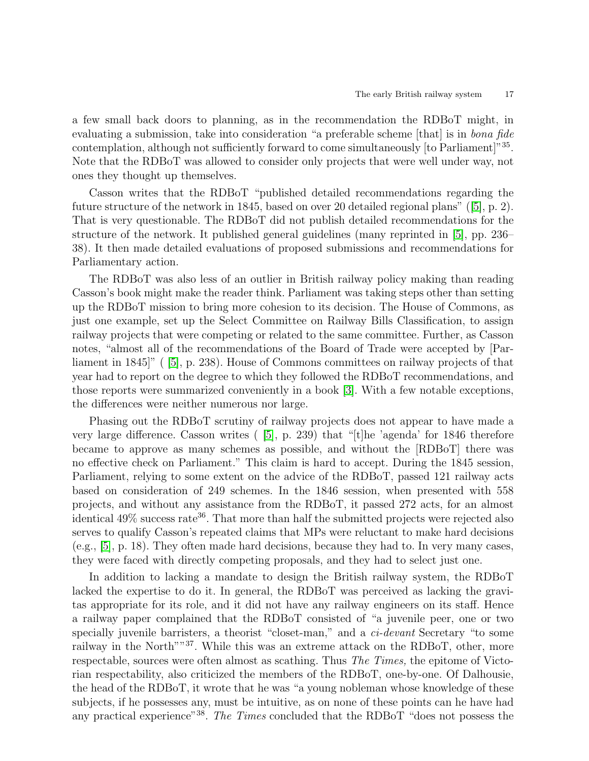a few small back doors to planning, as in the recommendation the RDBoT might, in evaluating a submission, take into consideration "a preferable scheme  $|$ that is in *bona fide* contemplation, although not sufficiently forward to come simultaneously [to Parliament]"35. Note that the RDBoT was allowed to consider only projects that were well under way, not ones they thought up themselves.

Casson writes that the RDBoT "published detailed recommendations regarding the future structure of the network in 1845, based on over 20 detailed regional plans" ([\[5\]](#page-23-0), p. 2). That is very questionable. The RDBoT did not publish detailed recommendations for the structure of the network. It published general guidelines (many reprinted in [\[5\]](#page-23-0), pp. 236– 38). It then made detailed evaluations of proposed submissions and recommendations for Parliamentary action.

The RDBoT was also less of an outlier in British railway policy making than reading Casson's book might make the reader think. Parliament was taking steps other than setting up the RDBoT mission to bring more cohesion to its decision. The House of Commons, as just one example, set up the Select Committee on Railway Bills Classification, to assign railway projects that were competing or related to the same committee. Further, as Casson notes, "almost all of the recommendations of the Board of Trade were accepted by [Parliament in 1845]" ( [\[5\]](#page-23-0), p. 238). House of Commons committees on railway projects of that year had to report on the degree to which they followed the RDBoT recommendations, and those reports were summarized conveniently in a book [\[3\]](#page-23-14). With a few notable exceptions, the differences were neither numerous nor large.

Phasing out the RDBoT scrutiny of railway projects does not appear to have made a very large difference. Casson writes ( [\[5\]](#page-23-0), p. 239) that "[t]he 'agenda' for 1846 therefore became to approve as many schemes as possible, and without the [RDBoT] there was no effective check on Parliament." This claim is hard to accept. During the 1845 session, Parliament, relying to some extent on the advice of the RDBoT, passed 121 railway acts based on consideration of 249 schemes. In the 1846 session, when presented with 558 projects, and without any assistance from the RDBoT, it passed 272 acts, for an almost identical  $49\%$  success rate<sup>36</sup>. That more than half the submitted projects were rejected also serves to qualify Casson's repeated claims that MPs were reluctant to make hard decisions (e.g., [\[5\]](#page-23-0), p. 18). They often made hard decisions, because they had to. In very many cases, they were faced with directly competing proposals, and they had to select just one.

In addition to lacking a mandate to design the British railway system, the RDBoT lacked the expertise to do it. In general, the RDBoT was perceived as lacking the gravitas appropriate for its role, and it did not have any railway engineers on its staff. Hence a railway paper complained that the RDBoT consisted of "a juvenile peer, one or two specially juvenile barristers, a theorist "closet-man," and a *ci-devant* Secretary "to some railway in the North<sup>"37</sup>. While this was an extreme attack on the RDBoT, other, more respectable, sources were often almost as scathing. Thus The Times, the epitome of Victorian respectability, also criticized the members of the RDBoT, one-by-one. Of Dalhousie, the head of the RDBoT, it wrote that he was "a young nobleman whose knowledge of these subjects, if he possesses any, must be intuitive, as on none of these points can he have had any practical experience"<sup>38</sup>. The Times concluded that the RDBoT "does not possess the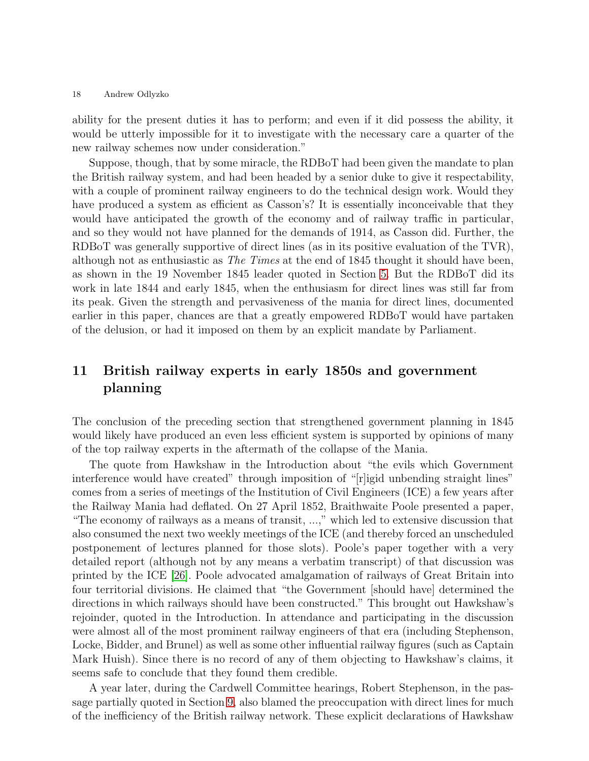ability for the present duties it has to perform; and even if it did possess the ability, it would be utterly impossible for it to investigate with the necessary care a quarter of the new railway schemes now under consideration."

Suppose, though, that by some miracle, the RDBoT had been given the mandate to plan the British railway system, and had been headed by a senior duke to give it respectability, with a couple of prominent railway engineers to do the technical design work. Would they have produced a system as efficient as Casson's? It is essentially inconceivable that they would have anticipated the growth of the economy and of railway traffic in particular, and so they would not have planned for the demands of 1914, as Casson did. Further, the RDBoT was generally supportive of direct lines (as in its positive evaluation of the TVR), although not as enthusiastic as The Times at the end of 1845 thought it should have been, as shown in the 19 November 1845 leader quoted in Section [5.](#page-7-0) But the RDBoT did its work in late 1844 and early 1845, when the enthusiasm for direct lines was still far from its peak. Given the strength and pervasiveness of the mania for direct lines, documented earlier in this paper, chances are that a greatly empowered RDBoT would have partaken of the delusion, or had it imposed on them by an explicit mandate by Parliament.

# <span id="page-17-0"></span>11 British railway experts in early 1850s and government planning

The conclusion of the preceding section that strengthened government planning in 1845 would likely have produced an even less efficient system is supported by opinions of many of the top railway experts in the aftermath of the collapse of the Mania.

The quote from Hawkshaw in the Introduction about "the evils which Government interference would have created" through imposition of "[r]igid unbending straight lines" comes from a series of meetings of the Institution of Civil Engineers (ICE) a few years after the Railway Mania had deflated. On 27 April 1852, Braithwaite Poole presented a paper, "The economy of railways as a means of transit, ...," which led to extensive discussion that also consumed the next two weekly meetings of the ICE (and thereby forced an unscheduled postponement of lectures planned for those slots). Poole's paper together with a very detailed report (although not by any means a verbatim transcript) of that discussion was printed by the ICE [\[26\]](#page-24-0). Poole advocated amalgamation of railways of Great Britain into four territorial divisions. He claimed that "the Government [should have] determined the directions in which railways should have been constructed." This brought out Hawkshaw's rejoinder, quoted in the Introduction. In attendance and participating in the discussion were almost all of the most prominent railway engineers of that era (including Stephenson, Locke, Bidder, and Brunel) as well as some other influential railway figures (such as Captain Mark Huish). Since there is no record of any of them objecting to Hawkshaw's claims, it seems safe to conclude that they found them credible.

A year later, during the Cardwell Committee hearings, Robert Stephenson, in the passage partially quoted in Section [9,](#page-14-1) also blamed the preoccupation with direct lines for much of the inefficiency of the British railway network. These explicit declarations of Hawkshaw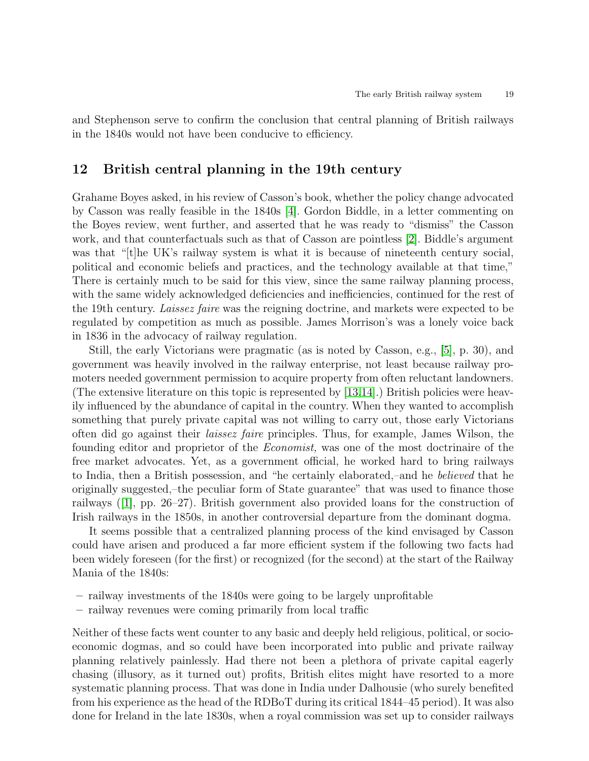and Stephenson serve to confirm the conclusion that central planning of British railways in the 1840s would not have been conducive to efficiency.

# 12 British central planning in the 19th century

Grahame Boyes asked, in his review of Casson's book, whether the policy change advocated by Casson was really feasible in the 1840s [\[4\]](#page-23-15). Gordon Biddle, in a letter commenting on the Boyes review, went further, and asserted that he was ready to "dismiss" the Casson work, and that counterfactuals such as that of Casson are pointless [\[2\]](#page-23-16). Biddle's argument was that "[t]he UK's railway system is what it is because of nineteenth century social, political and economic beliefs and practices, and the technology available at that time," There is certainly much to be said for this view, since the same railway planning process, with the same widely acknowledged deficiencies and inefficiencies, continued for the rest of the 19th century. Laissez faire was the reigning doctrine, and markets were expected to be regulated by competition as much as possible. James Morrison's was a lonely voice back in 1836 in the advocacy of railway regulation.

Still, the early Victorians were pragmatic (as is noted by Casson, e.g., [\[5\]](#page-23-0), p. 30), and government was heavily involved in the railway enterprise, not least because railway promoters needed government permission to acquire property from often reluctant landowners. (The extensive literature on this topic is represented by [\[13,](#page-23-17)[14\]](#page-23-18).) British policies were heavily influenced by the abundance of capital in the country. When they wanted to accomplish something that purely private capital was not willing to carry out, those early Victorians often did go against their laissez faire principles. Thus, for example, James Wilson, the founding editor and proprietor of the Economist, was one of the most doctrinaire of the free market advocates. Yet, as a government official, he worked hard to bring railways to India, then a British possession, and "he certainly elaborated,–and he believed that he originally suggested,–the peculiar form of State guarantee" that was used to finance those railways ([\[1\]](#page-23-19), pp. 26–27). British government also provided loans for the construction of Irish railways in the 1850s, in another controversial departure from the dominant dogma.

It seems possible that a centralized planning process of the kind envisaged by Casson could have arisen and produced a far more efficient system if the following two facts had been widely foreseen (for the first) or recognized (for the second) at the start of the Railway Mania of the 1840s:

- railway investments of the 1840s were going to be largely unprofitable
- railway revenues were coming primarily from local traffic

Neither of these facts went counter to any basic and deeply held religious, political, or socioeconomic dogmas, and so could have been incorporated into public and private railway planning relatively painlessly. Had there not been a plethora of private capital eagerly chasing (illusory, as it turned out) profits, British elites might have resorted to a more systematic planning process. That was done in India under Dalhousie (who surely benefited from his experience as the head of the RDBoT during its critical 1844–45 period). It was also done for Ireland in the late 1830s, when a royal commission was set up to consider railways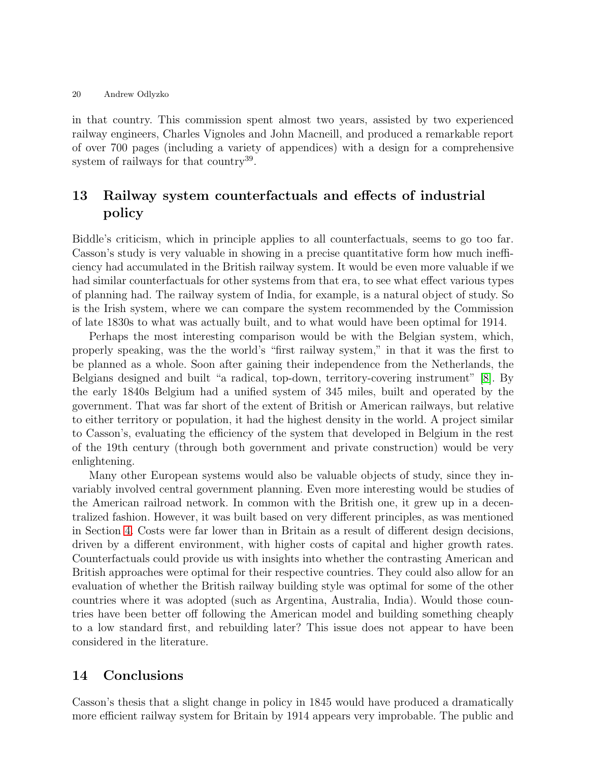in that country. This commission spent almost two years, assisted by two experienced railway engineers, Charles Vignoles and John Macneill, and produced a remarkable report of over 700 pages (including a variety of appendices) with a design for a comprehensive system of railways for that country<sup>39</sup>.

# <span id="page-19-0"></span>13 Railway system counterfactuals and effects of industrial policy

Biddle's criticism, which in principle applies to all counterfactuals, seems to go too far. Casson's study is very valuable in showing in a precise quantitative form how much inefficiency had accumulated in the British railway system. It would be even more valuable if we had similar counterfactuals for other systems from that era, to see what effect various types of planning had. The railway system of India, for example, is a natural object of study. So is the Irish system, where we can compare the system recommended by the Commission of late 1830s to what was actually built, and to what would have been optimal for 1914.

Perhaps the most interesting comparison would be with the Belgian system, which, properly speaking, was the the world's "first railway system," in that it was the first to be planned as a whole. Soon after gaining their independence from the Netherlands, the Belgians designed and built "a radical, top-down, territory-covering instrument" [\[8\]](#page-23-20). By the early 1840s Belgium had a unified system of 345 miles, built and operated by the government. That was far short of the extent of British or American railways, but relative to either territory or population, it had the highest density in the world. A project similar to Casson's, evaluating the efficiency of the system that developed in Belgium in the rest of the 19th century (through both government and private construction) would be very enlightening.

Many other European systems would also be valuable objects of study, since they invariably involved central government planning. Even more interesting would be studies of the American railroad network. In common with the British one, it grew up in a decentralized fashion. However, it was built based on very different principles, as was mentioned in Section [4.](#page-6-0) Costs were far lower than in Britain as a result of different design decisions, driven by a different environment, with higher costs of capital and higher growth rates. Counterfactuals could provide us with insights into whether the contrasting American and British approaches were optimal for their respective countries. They could also allow for an evaluation of whether the British railway building style was optimal for some of the other countries where it was adopted (such as Argentina, Australia, India). Would those countries have been better off following the American model and building something cheaply to a low standard first, and rebuilding later? This issue does not appear to have been considered in the literature.

# 14 Conclusions

Casson's thesis that a slight change in policy in 1845 would have produced a dramatically more efficient railway system for Britain by 1914 appears very improbable. The public and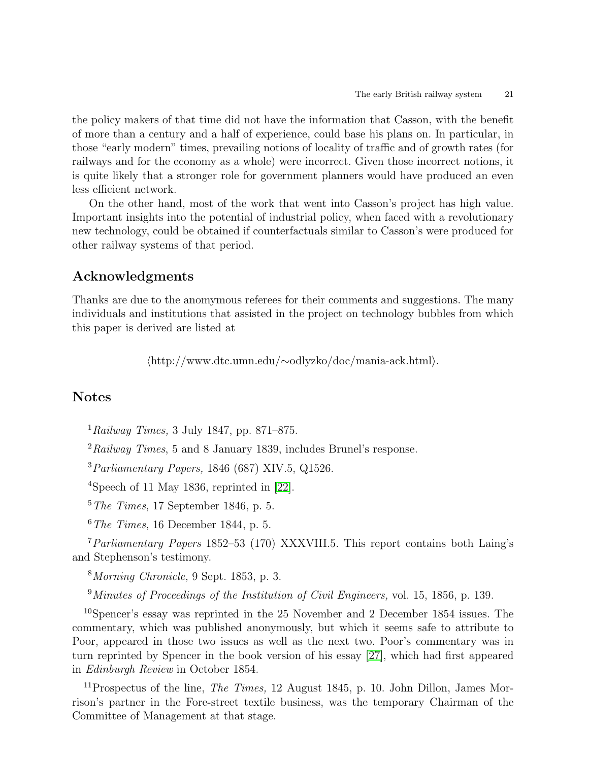the policy makers of that time did not have the information that Casson, with the benefit of more than a century and a half of experience, could base his plans on. In particular, in those "early modern" times, prevailing notions of locality of traffic and of growth rates (for railways and for the economy as a whole) were incorrect. Given those incorrect notions, it is quite likely that a stronger role for government planners would have produced an even less efficient network.

On the other hand, most of the work that went into Casson's project has high value. Important insights into the potential of industrial policy, when faced with a revolutionary new technology, could be obtained if counterfactuals similar to Casson's were produced for other railway systems of that period.

# Acknowledgments

Thanks are due to the anomymous referees for their comments and suggestions. The many individuals and institutions that assisted in the project on technology bubbles from which this paper is derived are listed at

hhttp://www.dtc.umn.edu/∼odlyzko/doc/mania-ack.htmli.

# Notes

 $1$ Railway Times, 3 July 1847, pp. 871–875.

 $^{2}Railway$  Times, 5 and 8 January 1839, includes Brunel's response.

 $3$ Parliamentary Papers, 1846 (687) XIV.5, Q1526.

<sup>4</sup>Speech of 11 May 1836, reprinted in [\[22\]](#page-23-5).

 $5$ The Times, 17 September 1846, p. 5.

 $6$  The Times, 16 December 1844, p. 5.

 $7$ Parliamentary Papers 1852–53 (170) XXXVIII.5. This report contains both Laing's and Stephenson's testimony.

<sup>8</sup>Morning Chronicle, 9 Sept. 1853, p. 3.

 $9$ Minutes of Proceedings of the Institution of Civil Engineers, vol. 15, 1856, p. 139.

<sup>10</sup>Spencer's essay was reprinted in the 25 November and 2 December 1854 issues. The commentary, which was published anonymously, but which it seems safe to attribute to Poor, appeared in those two issues as well as the next two. Poor's commentary was in turn reprinted by Spencer in the book version of his essay [\[27\]](#page-24-2), which had first appeared in Edinburgh Review in October 1854.

<sup>11</sup>Prospectus of the line, *The Times*, 12 August 1845, p. 10. John Dillon, James Morrison's partner in the Fore-street textile business, was the temporary Chairman of the Committee of Management at that stage.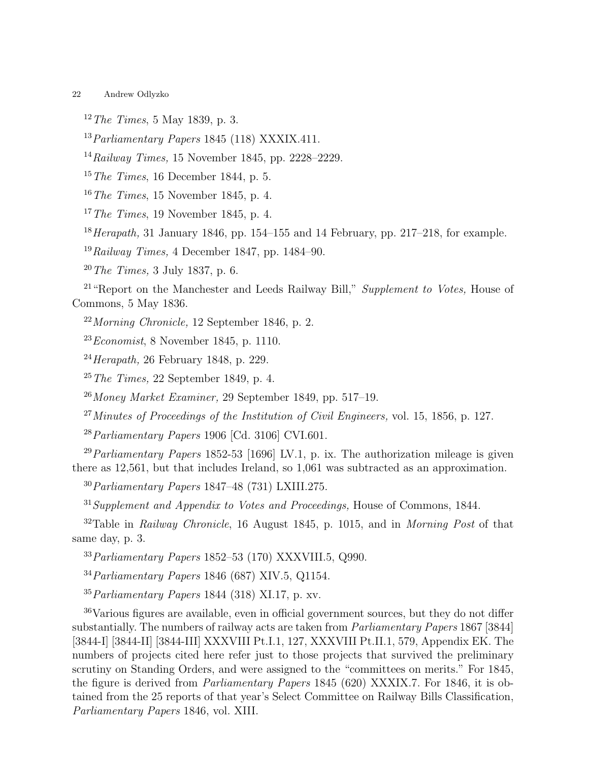$12$  The Times, 5 May 1839, p. 3.

 $^{13}Parliamentary Papers$  1845 (118) XXXIX.411.

 $14 \rightarrow Railway$  Times, 15 November 1845, pp. 2228–2229.

 $15$  The Times, 16 December 1844, p. 5.

 $16$  The Times, 15 November 1845, p. 4.

 $17$ The Times, 19 November 1845, p. 4.

 $18$  Herapath, 31 January 1846, pp. 154–155 and 14 February, pp. 217–218, for example.

 $19 \, Railway \, Times, \, 4 \, December \, 1847, \, pp. \, 1484-90.$ 

<sup>20</sup>The Times, 3 July 1837, p. 6.

<sup>21</sup> "Report on the Manchester and Leeds Railway Bill," Supplement to Votes, House of Commons, 5 May 1836.

 $22Morming$  Chronicle, 12 September 1846, p. 2.

 $23Economist$ , 8 November 1845, p. 1110.

 $^{24}$ *Herapath,* 26 February 1848, p. 229.

 $25$  The Times, 22 September 1849, p. 4.

 $26$ Money Market Examiner, 29 September 1849, pp. 517–19.

 $^{27}$ Minutes of Proceedings of the Institution of Civil Engineers, vol. 15, 1856, p. 127.

 $^{28}Parliamentary Papers 1906$  [Cd. 3106] CVI.601.

<sup>29</sup> Parliamentary Papers 1852-53 [1696] LV.1, p. ix. The authorization mileage is given there as 12,561, but that includes Ireland, so 1,061 was subtracted as an approximation.

<sup>30</sup>Parliamentary Papers 1847–48 (731) LXIII.275.

 $31$ Supplement and Appendix to Votes and Proceedings, House of Commons, 1844.

 $32$ Table in Railway Chronicle, 16 August 1845, p. 1015, and in Morning Post of that same day, p. 3.

<sup>33</sup>Parliamentary Papers 1852–53 (170) XXXVIII.5, Q990.

<sup>34</sup>Parliamentary Papers 1846 (687) XIV.5, Q1154.

 $35$  Parliamentary Papers 1844 (318) XI.17, p. xv.

<sup>36</sup>Various figures are available, even in official government sources, but they do not differ substantially. The numbers of railway acts are taken from Parliamentary Papers 1867 [3844] [3844-I] [3844-II] [3844-III] XXXVIII Pt.I.1, 127, XXXVIII Pt.II.1, 579, Appendix EK. The numbers of projects cited here refer just to those projects that survived the preliminary scrutiny on Standing Orders, and were assigned to the "committees on merits." For 1845, the figure is derived from Parliamentary Papers 1845 (620) XXXIX.7. For 1846, it is obtained from the 25 reports of that year's Select Committee on Railway Bills Classification, Parliamentary Papers 1846, vol. XIII.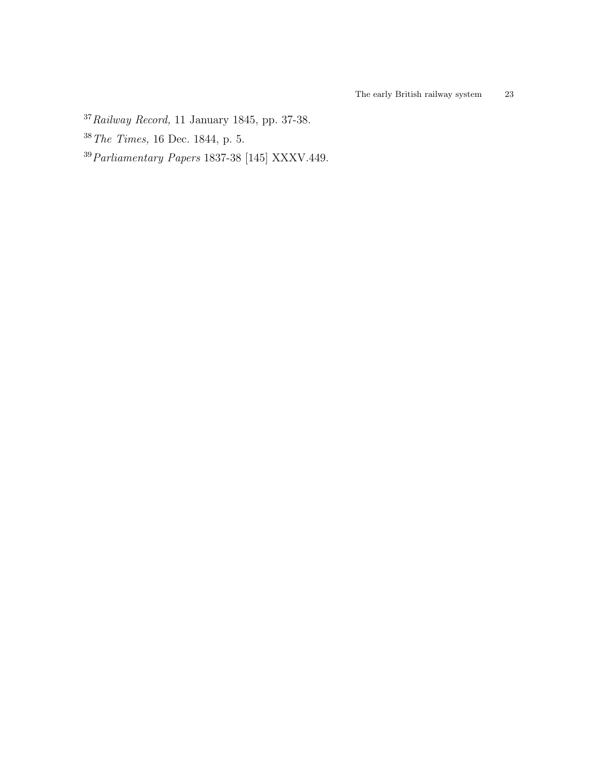- Railway Record, 11 January 1845, pp. 37-38.
- The Times, 16 Dec. 1844, p. 5.
- Parliamentary Papers 1837-38 [145] XXXV.449.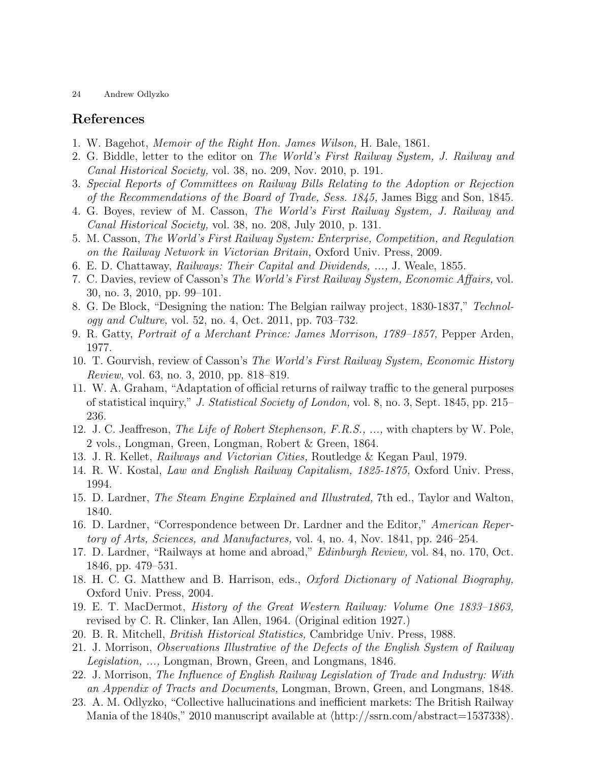### <span id="page-23-19"></span>References

- <span id="page-23-16"></span>1. W. Bagehot, Memoir of the Right Hon. James Wilson, H. Bale, 1861.
- <span id="page-23-14"></span>2. G. Biddle, letter to the editor on The World's First Railway System, J. Railway and Canal Historical Society, vol. 38, no. 209, Nov. 2010, p. 191.
- <span id="page-23-15"></span>3. Special Reports of Committees on Railway Bills Relating to the Adoption or Rejection of the Recommendations of the Board of Trade, Sess. 1845, James Bigg and Son, 1845.
- <span id="page-23-0"></span>4. G. Boyes, review of M. Casson, The World's First Railway System, J. Railway and Canal Historical Society, vol. 38, no. 208, July 2010, p. 131.
- <span id="page-23-11"></span>5. M. Casson, The World's First Railway System: Enterprise, Competition, and Regulation on the Railway Network in Victorian Britain, Oxford Univ. Press, 2009.
- 6. E. D. Chattaway, Railways: Their Capital and Dividends, ..., J. Weale, 1855.
- 7. C. Davies, review of Casson's The World's First Railway System, Economic Affairs, vol. 30, no. 3, 2010, pp. 99–101.
- <span id="page-23-20"></span><span id="page-23-9"></span>8. G. De Block, "Designing the nation: The Belgian railway project, 1830-1837," Technology and Culture, vol. 52, no. 4, Oct. 2011, pp. 703–732.
- 9. R. Gatty, Portrait of a Merchant Prince: James Morrison, 1789–1857, Pepper Arden, 1977.
- <span id="page-23-10"></span>10. T. Gourvish, review of Casson's The World's First Railway System, Economic History Review, vol. 63, no. 3, 2010, pp. 818–819.
- 11. W. A. Graham, "Adaptation of official returns of railway traffic to the general purposes of statistical inquiry," J. Statistical Society of London, vol. 8, no. 3, Sept. 1845, pp. 215– 236.
- <span id="page-23-13"></span>12. J. C. Jeaffreson, The Life of Robert Stephenson, F.R.S., ..., with chapters by W. Pole, 2 vols., Longman, Green, Longman, Robert & Green, 1864.
- <span id="page-23-18"></span><span id="page-23-17"></span>13. J. R. Kellet, Railways and Victorian Cities, Routledge & Kegan Paul, 1979.
- <span id="page-23-6"></span>14. R. W. Kostal, Law and English Railway Capitalism, 1825-1875, Oxford Univ. Press, 1994.
- <span id="page-23-8"></span>15. D. Lardner, The Steam Engine Explained and Illustrated, 7th ed., Taylor and Walton, 1840.
- <span id="page-23-7"></span>16. D. Lardner, "Correspondence between Dr. Lardner and the Editor," American Repertory of Arts, Sciences, and Manufactures, vol. 4, no. 4, Nov. 1841, pp. 246–254.
- 17. D. Lardner, "Railways at home and abroad," Edinburgh Review, vol. 84, no. 170, Oct. 1846, pp. 479–531.
- <span id="page-23-2"></span>18. H. C. G. Matthew and B. Harrison, eds., Oxford Dictionary of National Biography, Oxford Univ. Press, 2004.
- <span id="page-23-3"></span>19. E. T. MacDermot, History of the Great Western Railway: Volume One 1833–1863, revised by C. R. Clinker, Ian Allen, 1964. (Original edition 1927.)
- <span id="page-23-4"></span><span id="page-23-1"></span>20. B. R. Mitchell, British Historical Statistics, Cambridge Univ. Press, 1988.
- <span id="page-23-5"></span>21. J. Morrison, Observations Illustrative of the Defects of the English System of Railway Legislation, ..., Longman, Brown, Green, and Longmans, 1846.
- 22. J. Morrison, The Influence of English Railway Legislation of Trade and Industry: With an Appendix of Tracts and Documents, Longman, Brown, Green, and Longmans, 1848.
- <span id="page-23-12"></span>23. A. M. Odlyzko, "Collective hallucinations and inefficient markets: The British Railway Mania of the 1840s," 2010 manuscript available at  $\langle \text{http://ssrn.com/abstract=1537338}\rangle$ .